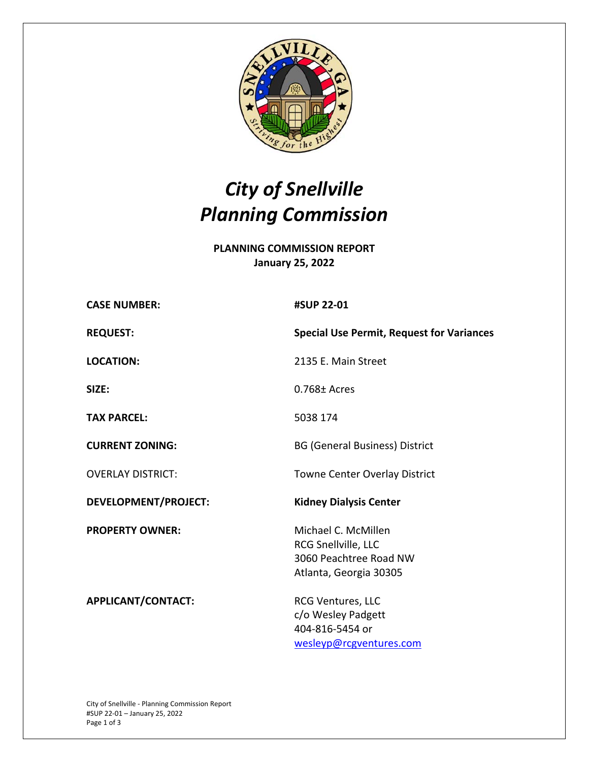

## *City of Snellville Planning Commission*

**PLANNING COMMISSION REPORT January 25, 2022** 

| <b>CASE NUMBER:</b>         | #SUP 22-01                                                                                     |
|-----------------------------|------------------------------------------------------------------------------------------------|
| <b>REQUEST:</b>             | <b>Special Use Permit, Request for Variances</b>                                               |
| <b>LOCATION:</b>            | 2135 E. Main Street                                                                            |
| SIZE:                       | $0.768 \pm$ Acres                                                                              |
| <b>TAX PARCEL:</b>          | 5038 174                                                                                       |
| <b>CURRENT ZONING:</b>      | <b>BG (General Business) District</b>                                                          |
| <b>OVERLAY DISTRICT:</b>    | <b>Towne Center Overlay District</b>                                                           |
| <b>DEVELOPMENT/PROJECT:</b> | <b>Kidney Dialysis Center</b>                                                                  |
| <b>PROPERTY OWNER:</b>      | Michael C. McMillen<br>RCG Snellville, LLC<br>3060 Peachtree Road NW<br>Atlanta, Georgia 30305 |
| APPLICANT/CONTACT:          | <b>RCG Ventures, LLC</b><br>c/o Wesley Padgett<br>404-816-5454 or<br>wesleyp@rcgventures.com   |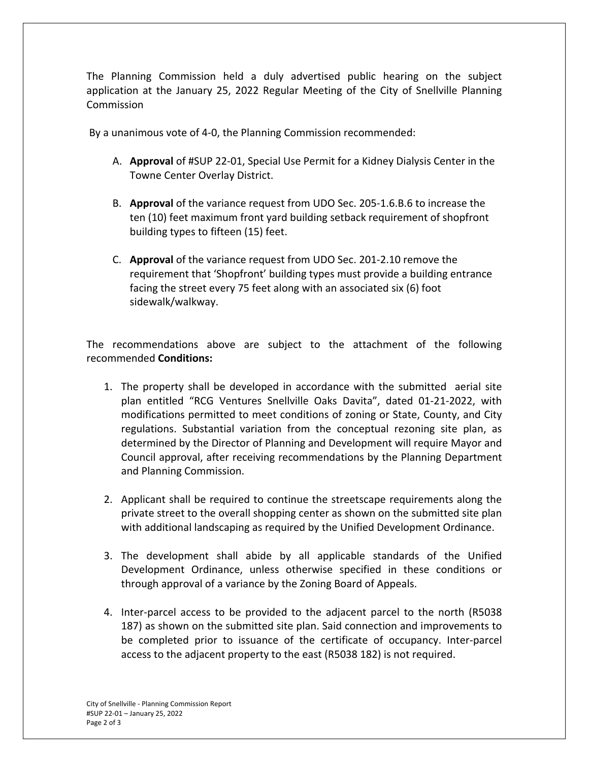The Planning Commission held a duly advertised public hearing on the subject application at the January 25, 2022 Regular Meeting of the City of Snellville Planning Commission

By a unanimous vote of 4‐0, the Planning Commission recommended:

- A. **Approval** of #SUP 22‐01, Special Use Permit for a Kidney Dialysis Center in the Towne Center Overlay District.
- B. **Approval** of the variance request from UDO Sec. 205‐1.6.B.6 to increase the ten (10) feet maximum front yard building setback requirement of shopfront building types to fifteen (15) feet.
- C. **Approval** of the variance request from UDO Sec. 201‐2.10 remove the requirement that 'Shopfront' building types must provide a building entrance facing the street every 75 feet along with an associated six (6) foot sidewalk/walkway.

The recommendations above are subject to the attachment of the following recommended **Conditions:** 

- 1. The property shall be developed in accordance with the submitted aerial site plan entitled "RCG Ventures Snellville Oaks Davita", dated 01‐21‐2022, with modifications permitted to meet conditions of zoning or State, County, and City regulations. Substantial variation from the conceptual rezoning site plan, as determined by the Director of Planning and Development will require Mayor and Council approval, after receiving recommendations by the Planning Department and Planning Commission.
- 2. Applicant shall be required to continue the streetscape requirements along the private street to the overall shopping center as shown on the submitted site plan with additional landscaping as required by the Unified Development Ordinance.
- 3. The development shall abide by all applicable standards of the Unified Development Ordinance, unless otherwise specified in these conditions or through approval of a variance by the Zoning Board of Appeals.
- 4. Inter-parcel access to be provided to the adiacent parcel to the north (R5038) 187) as shown on the submitted site plan. Said connection and improvements to be completed prior to issuance of the certificate of occupancy. Inter-parcel access to the adjacent property to the east (R5038 182) is not required.